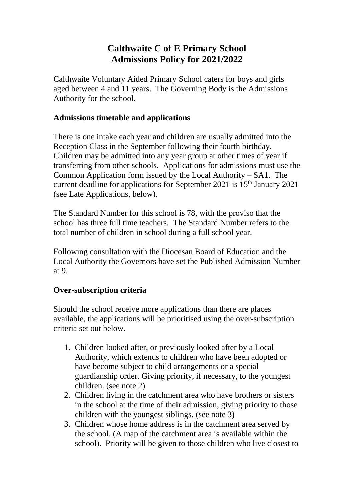# **Calthwaite C of E Primary School Admissions Policy for 2021/2022**

Calthwaite Voluntary Aided Primary School caters for boys and girls aged between 4 and 11 years. The Governing Body is the Admissions Authority for the school.

#### **Admissions timetable and applications**

There is one intake each year and children are usually admitted into the Reception Class in the September following their fourth birthday. Children may be admitted into any year group at other times of year if transferring from other schools. Applications for admissions must use the Common Application form issued by the Local Authority – SA1. The current deadline for applications for September 2021 is  $15<sup>th</sup>$  January 2021 (see Late Applications, below).

The Standard Number for this school is 78, with the proviso that the school has three full time teachers. The Standard Number refers to the total number of children in school during a full school year.

Following consultation with the Diocesan Board of Education and the Local Authority the Governors have set the Published Admission Number at 9.

### **Over-subscription criteria**

Should the school receive more applications than there are places available, the applications will be prioritised using the over-subscription criteria set out below.

- 1. Children looked after, or previously looked after by a Local Authority, which extends to children who have been adopted or have become subject to child arrangements or a special guardianship order. Giving priority, if necessary, to the youngest children. (see note 2)
- 2. Children living in the catchment area who have brothers or sisters in the school at the time of their admission, giving priority to those children with the youngest siblings. (see note 3)
- 3. Children whose home address is in the catchment area served by the school. (A map of the catchment area is available within the school). Priority will be given to those children who live closest to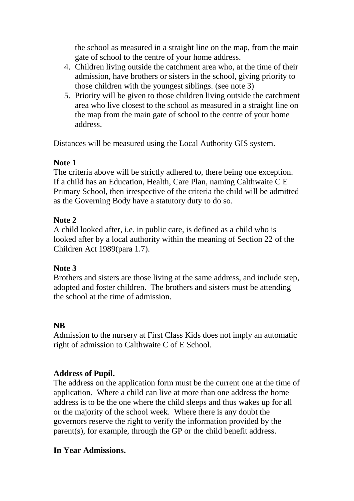the school as measured in a straight line on the map, from the main gate of school to the centre of your home address.

- 4. Children living outside the catchment area who, at the time of their admission, have brothers or sisters in the school, giving priority to those children with the youngest siblings. (see note 3)
- 5. Priority will be given to those children living outside the catchment area who live closest to the school as measured in a straight line on the map from the main gate of school to the centre of your home address.

Distances will be measured using the Local Authority GIS system.

### **Note 1**

The criteria above will be strictly adhered to, there being one exception. If a child has an Education, Health, Care Plan, naming Calthwaite C E Primary School, then irrespective of the criteria the child will be admitted as the Governing Body have a statutory duty to do so.

## **Note 2**

A child looked after, i.e. in public care, is defined as a child who is looked after by a local authority within the meaning of Section 22 of the Children Act 1989(para 1.7).

## **Note 3**

Brothers and sisters are those living at the same address, and include step, adopted and foster children. The brothers and sisters must be attending the school at the time of admission.

## **NB**

Admission to the nursery at First Class Kids does not imply an automatic right of admission to Calthwaite C of E School.

## **Address of Pupil.**

The address on the application form must be the current one at the time of application. Where a child can live at more than one address the home address is to be the one where the child sleeps and thus wakes up for all or the majority of the school week. Where there is any doubt the governors reserve the right to verify the information provided by the parent(s), for example, through the GP or the child benefit address.

### **In Year Admissions.**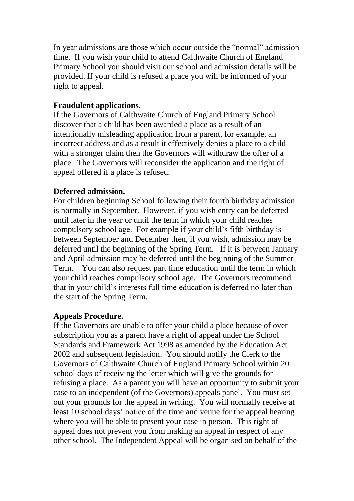In year admissions are those which occur outside the "normal" admission time. If you wish your child to attend Calthwaite Church of England Primary School you should visit our school and admission details will be provided. If your child is refused a place you will be informed of your right to appeal.

#### **Fraudulent applications.**

If the Governors of Calthwaite Church of England Primary School discover that a child has been awarded a place as a result of an intentionally misleading application from a parent, for example, an incorrect address and as a result it effectively denies a place to a child with a stronger claim then the Governors will withdraw the offer of a place. The Governors will reconsider the application and the right of appeal offered if a place is refused.

#### **Deferred admission.**

For children beginning School following their fourth birthday admission is normally in September. However, if you wish entry can be deferred until later in the year or until the term in which your child reaches compulsory school age. For example if your child's fifth birthday is between September and December then, if you wish, admission may be deferred until the beginning of the Spring Term. If it is between January and April admission may be deferred until the beginning of the Summer Term. You can also request part time education until the term in which your child reaches compulsory school age. The Governors recommend that in your child's interests full time education is deferred no later than the start of the Spring Term.

#### **Appeals Procedure.**

If the Governors are unable to offer your child a place because of over subscription you as a parent have a right of appeal under the School Standards and Framework Act 1998 as amended by the Education Act 2002 and subsequent legislation. You should notify the Clerk to the Governors of Calthwaite Church of England Primary School within 20 school days of receiving the letter which will give the grounds for refusing a place. As a parent you will have an opportunity to submit your case to an independent (of the Governors) appeals panel. You must set out your grounds for the appeal in writing. You will normally receive at least 10 school days' notice of the time and venue for the appeal hearing where you will be able to present your case in person. This right of appeal does not prevent you from making an appeal in respect of any other school. The Independent Appeal will be organised on behalf of the